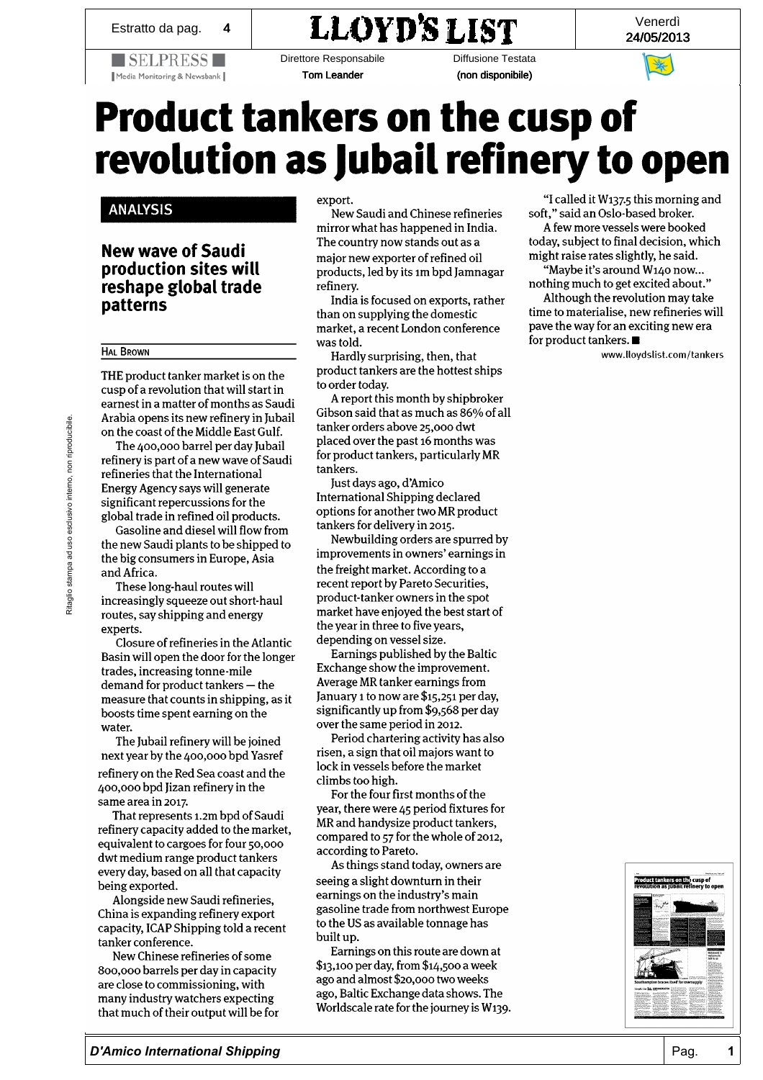$\blacksquare$  SELPRESS $\square$ 

Media Monitoring & Newsbank

## Estratto da pag.  $\begin{array}{c|c|c} \hline \text{24/05/2013} & & \text{24/05/2013} \end{array}$

Direttore Responsabile Tom Leander

Diffusione Testata (non disponibile)

Venerdì

## Product tankers on the cusp of revolution as Jubail refinery to open

## ANALYSIS NEW WAVE OF SAUDI PRODUCTION CONTINUES OF SAUDI PRODUCTION OF SAUDI PRODUCTION OF SAUDI PRODUCTION OF **ANALYSIS** BROWN LIBERTY OF THE PRODUCT OF THE PRODUCT OF THE PRODUCT OF THE PRODUCT OF THE PRODUCT OF THE PRODUCT OF THE

that ways of Caudi new wave of Saudi production sites will The 400,000 barrel per day Jubai refinery is a set of the 400 barrel per day Jubai refinery is a set of the 40 resnape giobal trade the International Energy Agency says with the International Energy Agency says with the International Energy A patterns significant repeat

## **HAL BROWN**  $\frac{E_{\text{L}}}{E_{\text{L}}}\frac{E_{\text{L}}}{E_{\text{L}}}\frac{E_{\text{L}}}{E_{\text{L}}}\frac{E_{\text{L}}}{E_{\text{L}}}\frac{E_{\text{L}}}{E_{\text{L}}}\frac{E_{\text{L}}}{E_{\text{L}}}\frac{E_{\text{L}}}{E_{\text{L}}}\frac{E_{\text{L}}}{E_{\text{L}}}\frac{E_{\text{L}}}{E_{\text{L}}}\frac{E_{\text{L}}}{E_{\text{L}}}\frac{E_{\text{L}}}{E_{\text{L}}}\frac{E_{\text{L}}}{E_{\text{L}}}\frac{E$

THE product tanker market is on the haul product tamen market is on the cusp of a revolution that will start in earnest in a matter of months as Saudi Arabia opens its new refinery in Jubail on the coast of the Middle East Gulf.

The 400,000 barrel per day Jubail the 400,000 batter per day juban refinery is part of a new wave of Sauc refineries that the International Energy Agency says will generate significant repercussions for the tanker market is on the cusp of a revolution of the cusp of a revolution of  $\alpha$ global trade in refined on products.

Gasoline and diesel will flow from the new Saudi plants to be shipped to the big consumers in Europe, Asia and Africa. the International Energy Agency says will

 $\mu$  inese long-haul routes will increasingly squeeze out short-haul routes, say shipping and energy experts.

Euperes.<br>Clearus of refinerise in the Atlanti closure of refilienes in the Atlantic Basin will open the door for the longer trades, increasing tonne-mile  $demand$  for product tankers  $-$  the measure that counts in shipping, as it the asure that counts in sinpping boosts time spent earning on the water.

The Jubail refinery will be joined next year by the 400,000 bpd Yasref refinery on the Red Sea coast and the 400,000 bpd Jizan refinery in the same area in 2017.

That represents 1.2m bpd of Saudi mar represents 1.2m upu or bauur<br>to finesy canacity added to the market femery capacity aqued to the mai equivalent to cargoes for four 50,000 dwt medium range product tankers every day, based on all that capacity being exported.

Alongside new Saudi refineries, China is expanding refinery export capacity, ICAP Shipping told a recent tanker conference.

New Chinese refineries of some 800,000 barrels per day in capacity are close to commissioning, with many industry watchers expecting that much of their output will be for export.

New Saudi and Chinese refineries mirror what has happened in India. The country now stands out as a major new exporter of refined oil products, led by its 1m bpd Jamnagar refinery.

India is focused on exports, rather than on supplying the domestic  $m$ ali on supprying the domestic  $m$ market, a recent London conference  $\frac{1}{2}$  was told.

Hardly surprising, then, that product tankers are the hottest ships to order today.

A report this month by shipbroker Gibson said that as much as 86% of all tanker orders above 25,000 dwt placed over the past 16 months was placed over the past to months was ror product tankers, particulari tankers.<br>Just days ago, d'Amico

International Shipping declared options for another two MR product tankers for delivery in 2015.

Newbuilding orders are spurred by improvements in owners' earnings in the freight market. According to a recent report by Pareto Securities, product-tanker owners in the spot market have enjoyed the best start of the year in three to five years depending  $\alpha$  on  $\alpha$  vectors  $\alpha$  is  $\alpha$ . depending on vessel size.

Earnings published by the Baltic Exchange show the improvement. Average MR tanker earnings from January 1 to now are \$15,251 per day, significantly up from \$9,568 per day over the same period in 2012.

Period chartering activity has also risen, a sign that oil majors want to four, a sign that on majors want to  $W_{\text{c}}(k)$  per  $\mathbf{r}(\mathbf{x})$  and  $\mathbf{r}(\mathbf{x})$  and  $\mathbf{r}(\mathbf{x})$  $\frac{1}{2}$  compared to product the product tank  $\frac{1}{2}$ 

For the four first months of the  $\epsilon$ year, there were 45 period fixtures for MR and handysize product tankers,<br>compared to 57 for the whole of 2012, according to Pareto.

As things stand today, owners are seeing a slight downturn in their earnings on the industry's main gasoline trade from northwest Europe to the US as available tonnage has to the 00 as available tomage has<br>built up  $5.50$  punt up.<br>Examines an this sents are decompt.

 $\epsilon$ arnings on this route are down  $$13,100$  per day, from  $$14,500$  a week ago and almost \$20,000 two weeks ago, Baltic Exchange data shows. The<br>Worldscale rate for the journey is W139.

"I called it Wi37-5 this morning and soft," said an Oslo-based broker.

A few more vessels were booked today, subject to final decision, which might raise rates slightly, he said.  $m$ git taist taits siigitty, ht said.<br>"Marbo it's around  $M_{\rm A}$  (a now

way be it s around with the re nothing much to get excited about." Although the revolution may take

time to materialise, new refineries will<br>pave the way for an exciting new era for product tankers.  $\blacksquare$ 

www.lloydslist.com/tankers